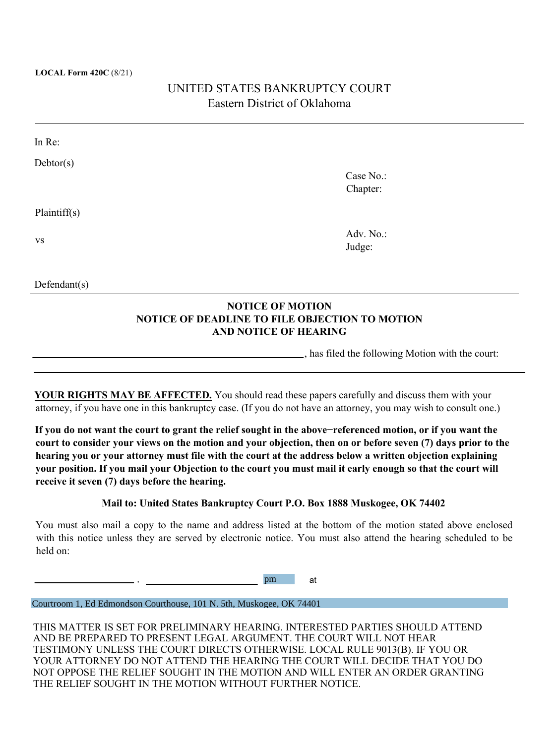#### **LOCAL Form 420C** (8/21)

# UNITED STATES BANKRUPTCY COURT Eastern District of Oklahoma

| In Re:       |           |  |
|--------------|-----------|--|
| Dektor(s)    |           |  |
|              | Case No.: |  |
|              | Chapter:  |  |
| Plaintiff(s) |           |  |
| <b>VS</b>    | Adv. No.: |  |
|              | Judge:    |  |
|              |           |  |
| Defendant(s) |           |  |
|              |           |  |

### **NOTICE OF MOTION NOTICE OF DEADLINE TO FILE OBJECTION TO MOTION AND NOTICE OF HEARING**

, has filed the following Motion with the court:

**YOUR RIGHTS MAY BE AFFECTED.** You should read these papers carefully and discuss them with your attorney, if you have one in this bankruptcy case. (If you do not have an attorney, you may wish to consult one.)

**If you do not want the court to grant the relief sought in the above−referenced motion, or if you want the court to consider your views on the motion and your objection, then on or before seven (7) days prior to the hearing you or your attorney must file with the court at the address below a written objection explaining your position. If you mail your Objection to the court you must mail it early enough so that the court will receive it seven (7) days before the hearing.**

#### **Mail to: United States Bankruptcy Court P.O. Box 1888 Muskogee, OK 74402**

You must also mail a copy to the name and address listed at the bottom of the motion stated above enclosed with this notice unless they are served by electronic notice. You must also attend the hearing scheduled to be held on:

> , pm at

Courtroom 1, Ed Edmondson Courthouse, 101 N. 5th, Muskogee, OK 74401

THIS MATTER IS SET FOR PRELIMINARY HEARING. INTERESTED PARTIES SHOULD ATTEND AND BE PREPARED TO PRESENT LEGAL ARGUMENT. THE COURT WILL NOT HEAR TESTIMONY UNLESS THE COURT DIRECTS OTHERWISE. LOCAL RULE 9013(B). IF YOU OR YOUR ATTORNEY DO NOT ATTEND THE HEARING THE COURT WILL DECIDE THAT YOU DO NOT OPPOSE THE RELIEF SOUGHT IN THE MOTION AND WILL ENTER AN ORDER GRANTING THE RELIEF SOUGHT IN THE MOTION WITHOUT FURTHER NOTICE.